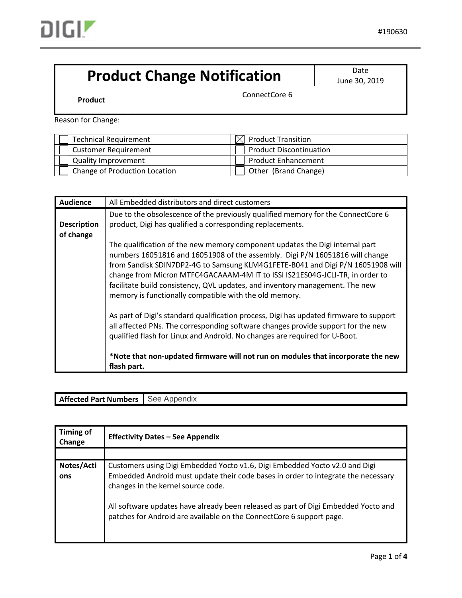

## **Product Change Notification** Date Date

June 30, 2019

**Product ConnectCore 6** 

Reason for Change:

| <b>Technical Requirement</b>  | $\bowtie$ Product Transition   |
|-------------------------------|--------------------------------|
| <b>Customer Requirement</b>   | <b>Product Discontinuation</b> |
| <b>Quality Improvement</b>    | <b>Product Enhancement</b>     |
| Change of Production Location | Other (Brand Change)           |

| <b>Audience</b>                 | All Embedded distributors and direct customers                                                                                                                                                                                                                                                                                                                                                                                                                           |  |  |  |  |
|---------------------------------|--------------------------------------------------------------------------------------------------------------------------------------------------------------------------------------------------------------------------------------------------------------------------------------------------------------------------------------------------------------------------------------------------------------------------------------------------------------------------|--|--|--|--|
| <b>Description</b><br>of change | Due to the obsolescence of the previously qualified memory for the ConnectCore 6<br>product, Digi has qualified a corresponding replacements.                                                                                                                                                                                                                                                                                                                            |  |  |  |  |
|                                 | The qualification of the new memory component updates the Digi internal part<br>numbers 16051816 and 16051908 of the assembly. Digi P/N 16051816 will change<br>from Sandisk SDIN7DP2-4G to Samsung KLM4G1FETE-B041 and Digi P/N 16051908 will<br>change from Micron MTFC4GACAAAM-4M IT to ISSI IS21ES04G-JCLI-TR, in order to<br>facilitate build consistency, QVL updates, and inventory management. The new<br>memory is functionally compatible with the old memory. |  |  |  |  |
|                                 | As part of Digi's standard qualification process, Digi has updated firmware to support<br>all affected PNs. The corresponding software changes provide support for the new<br>qualified flash for Linux and Android. No changes are required for U-Boot.<br>*Note that non-updated firmware will not run on modules that incorporate the new                                                                                                                             |  |  |  |  |
|                                 | flash part.                                                                                                                                                                                                                                                                                                                                                                                                                                                              |  |  |  |  |

## **Affected Part Numbers** See Appendix

| <b>Timing of</b><br>Change | <b>Effectivity Dates - See Appendix</b>                                                                                                                                                                |
|----------------------------|--------------------------------------------------------------------------------------------------------------------------------------------------------------------------------------------------------|
|                            |                                                                                                                                                                                                        |
| Notes/Acti<br>ons          | Customers using Digi Embedded Yocto v1.6, Digi Embedded Yocto v2.0 and Digi<br>Embedded Android must update their code bases in order to integrate the necessary<br>changes in the kernel source code. |
|                            | All software updates have already been released as part of Digi Embedded Yocto and<br>patches for Android are available on the ConnectCore 6 support page.                                             |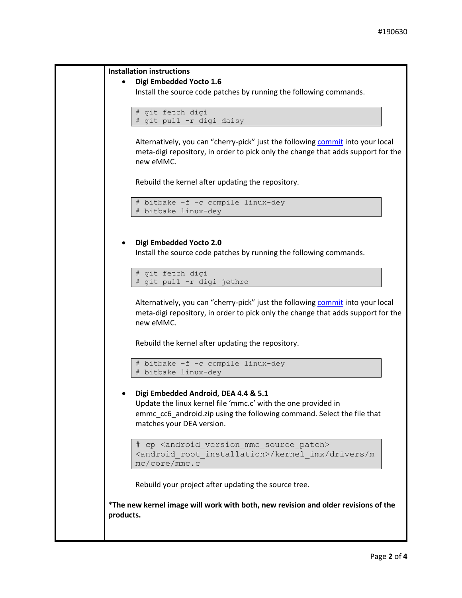```
Installation instructions
       Digi Embedded Yocto 1.6
      Install the source code patches by running the following commands.
      # git fetch digi
      # git pull -r digi daisy
       commit into your local
      meta-digi repository, in order to pick only the change that adds support for the 
      new eMMC.
      Rebuild the kernel after updating the repository.
       # bitbake –f –c compile linux-dey
      # bitbake linux-dey
       Digi Embedded Yocto 2.0
      Install the source code patches by running the following commands.
      # git fetch digi
      # git pull -r digi jethro
      commit into your local
      meta-digi repository, in order to pick only the change that adds support for the 
      new eMMC.
      Rebuild the kernel after updating the repository.
       # bitbake –f –c compile linux-dey
      # bitbake linux-dey
       Digi Embedded Android, DEA 4.4 & 5.1
      Update the linux kernel file 'mmc.c' with the one provided in 
      emmc_cc6_android.zip using the following command. Select the file that 
      matches your DEA version.
      # cp <android version mmc source patch>
      <android_root_installation>/kernel_imx/drivers/m
      mc/core/mmc.c
      Rebuild your project after updating the source tree.
*The new kernel image will work with both, new revision and older revisions of the 
products.
```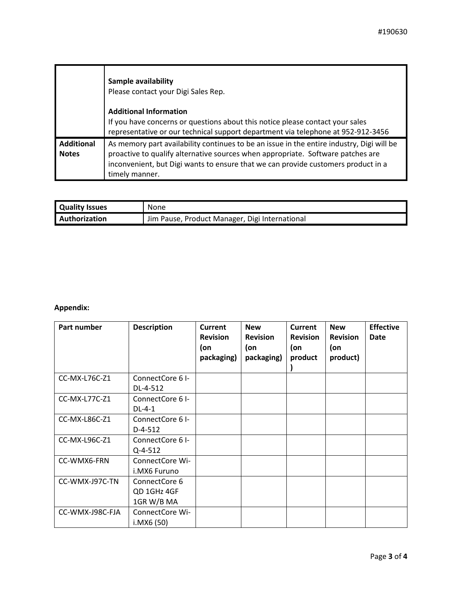|                                   | Sample availability<br>Please contact your Digi Sales Rep.                                                                                                                                                                                                                          |
|-----------------------------------|-------------------------------------------------------------------------------------------------------------------------------------------------------------------------------------------------------------------------------------------------------------------------------------|
|                                   | <b>Additional Information</b><br>If you have concerns or questions about this notice please contact your sales<br>representative or our technical support department via telephone at 952-912-3456                                                                                  |
| <b>Additional</b><br><b>Notes</b> | As memory part availability continues to be an issue in the entire industry, Digi will be<br>proactive to qualify alternative sources when appropriate. Software patches are<br>inconvenient, but Digi wants to ensure that we can provide customers product in a<br>timely manner. |

| <b>Quality Issues</b> | None                                           |
|-----------------------|------------------------------------------------|
| <b>Authorization</b>  | Jim Pause, Product Manager, Digi International |

## **Appendix:**

| Part number     | <b>Description</b> | <b>Current</b><br><b>Revision</b><br>(on<br>packaging) | <b>New</b><br><b>Revision</b><br>(on<br>packaging) | <b>Current</b><br><b>Revision</b><br>(on<br>product | <b>New</b><br><b>Revision</b><br>(on<br>product) | <b>Effective</b><br><b>Date</b> |
|-----------------|--------------------|--------------------------------------------------------|----------------------------------------------------|-----------------------------------------------------|--------------------------------------------------|---------------------------------|
| CC-MX-L76C-Z1   | ConnectCore 6 I-   |                                                        |                                                    |                                                     |                                                  |                                 |
|                 | DL-4-512           |                                                        |                                                    |                                                     |                                                  |                                 |
| CC-MX-L77C-Z1   | ConnectCore 6 I-   |                                                        |                                                    |                                                     |                                                  |                                 |
|                 | $DL-4-1$           |                                                        |                                                    |                                                     |                                                  |                                 |
| CC-MX-L86C-Z1   | ConnectCore 6 I-   |                                                        |                                                    |                                                     |                                                  |                                 |
|                 | $D-4-512$          |                                                        |                                                    |                                                     |                                                  |                                 |
| CC-MX-L96C-Z1   | ConnectCore 6 I-   |                                                        |                                                    |                                                     |                                                  |                                 |
|                 | Q-4-512            |                                                        |                                                    |                                                     |                                                  |                                 |
| CC-WMX6-FRN     | ConnectCore Wi-    |                                                        |                                                    |                                                     |                                                  |                                 |
|                 | i.MX6 Furuno       |                                                        |                                                    |                                                     |                                                  |                                 |
| CC-WMX-J97C-TN  | ConnectCore 6      |                                                        |                                                    |                                                     |                                                  |                                 |
|                 | QD 1GHz 4GF        |                                                        |                                                    |                                                     |                                                  |                                 |
|                 | 1GR W/B MA         |                                                        |                                                    |                                                     |                                                  |                                 |
| CC-WMX-J98C-FJA | ConnectCore Wi-    |                                                        |                                                    |                                                     |                                                  |                                 |
|                 | i.MX6 (50)         |                                                        |                                                    |                                                     |                                                  |                                 |